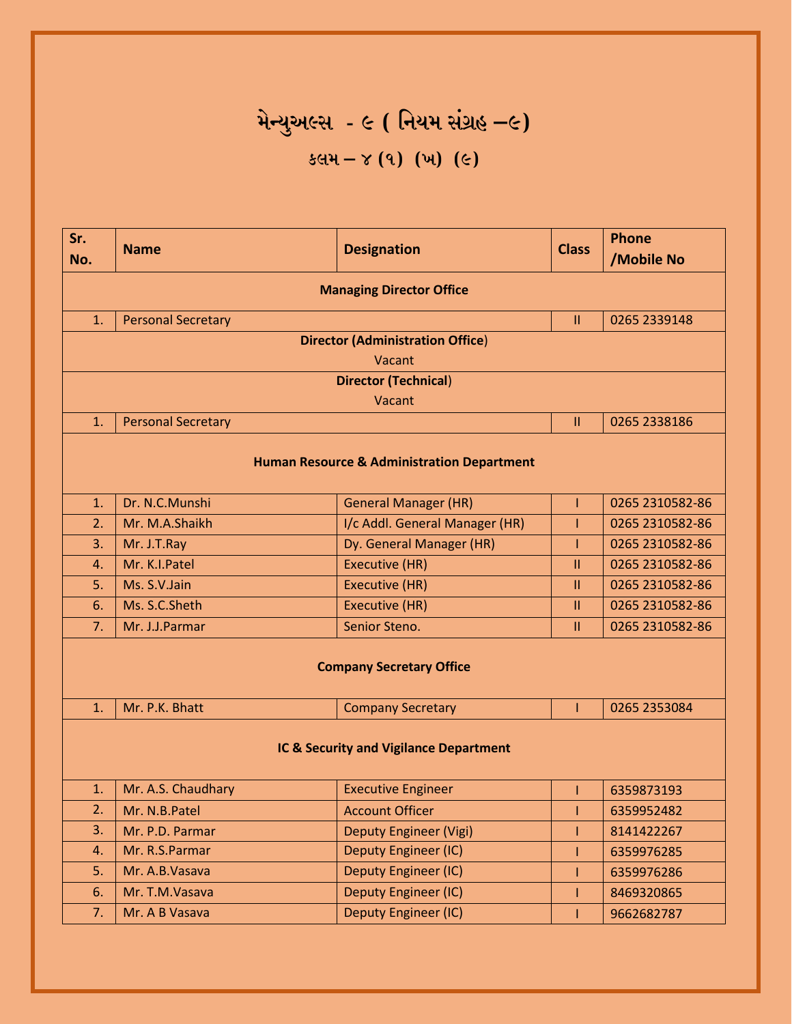## **મેન્યુઅલ્સ - ૯ ( નિયમ સંગ્રહ –૯) કલમ – ૪ (૧) (ખ) (૯)**

| Sr.                                    | <b>Name</b>                                                | <b>Designation</b>                                    | <b>Class</b>  | <b>Phone</b>    |  |
|----------------------------------------|------------------------------------------------------------|-------------------------------------------------------|---------------|-----------------|--|
| No.                                    |                                                            |                                                       |               | /Mobile No      |  |
| <b>Managing Director Office</b>        |                                                            |                                                       |               |                 |  |
| 1.                                     | <b>Personal Secretary</b><br>0265 2339148<br>$\mathbf{II}$ |                                                       |               |                 |  |
|                                        |                                                            | <b>Director (Administration Office)</b>               |               |                 |  |
|                                        |                                                            | Vacant                                                |               |                 |  |
|                                        |                                                            | <b>Director (Technical)</b>                           |               |                 |  |
|                                        |                                                            | Vacant                                                |               |                 |  |
| 1.                                     | <b>Personal Secretary</b>                                  |                                                       | $\mathbf{II}$ | 0265 2338186    |  |
|                                        |                                                            | <b>Human Resource &amp; Administration Department</b> |               |                 |  |
| 1.                                     | Dr. N.C.Munshi                                             | <b>General Manager (HR)</b>                           | T             | 0265 2310582-86 |  |
| 2.                                     | Mr. M.A.Shaikh                                             | I/c Addl. General Manager (HR)                        |               | 0265 2310582-86 |  |
| 3.                                     | Mr. J.T.Ray                                                | Dy. General Manager (HR)                              | Ī             | 0265 2310582-86 |  |
| $\mathbf{4}$ .                         | Mr. K.I.Patel                                              | <b>Executive (HR)</b>                                 | $\mathbf{II}$ | 0265 2310582-86 |  |
| 5.                                     | Ms. S.V.Jain                                               | <b>Executive (HR)</b>                                 | $\mathbf{H}$  | 0265 2310582-86 |  |
| 6.                                     | Ms. S.C.Sheth                                              | Executive (HR)                                        | $\mathbf{II}$ | 0265 2310582-86 |  |
| 7.                                     | Mr. J.J.Parmar                                             | Senior Steno.                                         | $\mathbf{H}$  | 0265 2310582-86 |  |
| <b>Company Secretary Office</b>        |                                                            |                                                       |               |                 |  |
| 1.                                     | Mr. P.K. Bhatt                                             | <b>Company Secretary</b>                              | Т             | 0265 2353084    |  |
| IC & Security and Vigilance Department |                                                            |                                                       |               |                 |  |
| 1.                                     | Mr. A.S. Chaudhary                                         | <b>Executive Engineer</b>                             | Т             | 6359873193      |  |
| 2.                                     | Mr. N.B.Patel                                              | <b>Account Officer</b>                                |               | 6359952482      |  |
| 3.                                     | Mr. P.D. Parmar                                            | <b>Deputy Engineer (Vigi)</b>                         |               | 8141422267      |  |
| 4.                                     | Mr. R.S.Parmar                                             | Deputy Engineer (IC)                                  |               | 6359976285      |  |
| 5.                                     | Mr. A.B.Vasava                                             | <b>Deputy Engineer (IC)</b>                           |               | 6359976286      |  |
| 6.                                     | Mr. T.M.Vasava                                             | Deputy Engineer (IC)                                  |               | 8469320865      |  |
| 7.                                     | Mr. A B Vasava                                             | Deputy Engineer (IC)                                  |               | 9662682787      |  |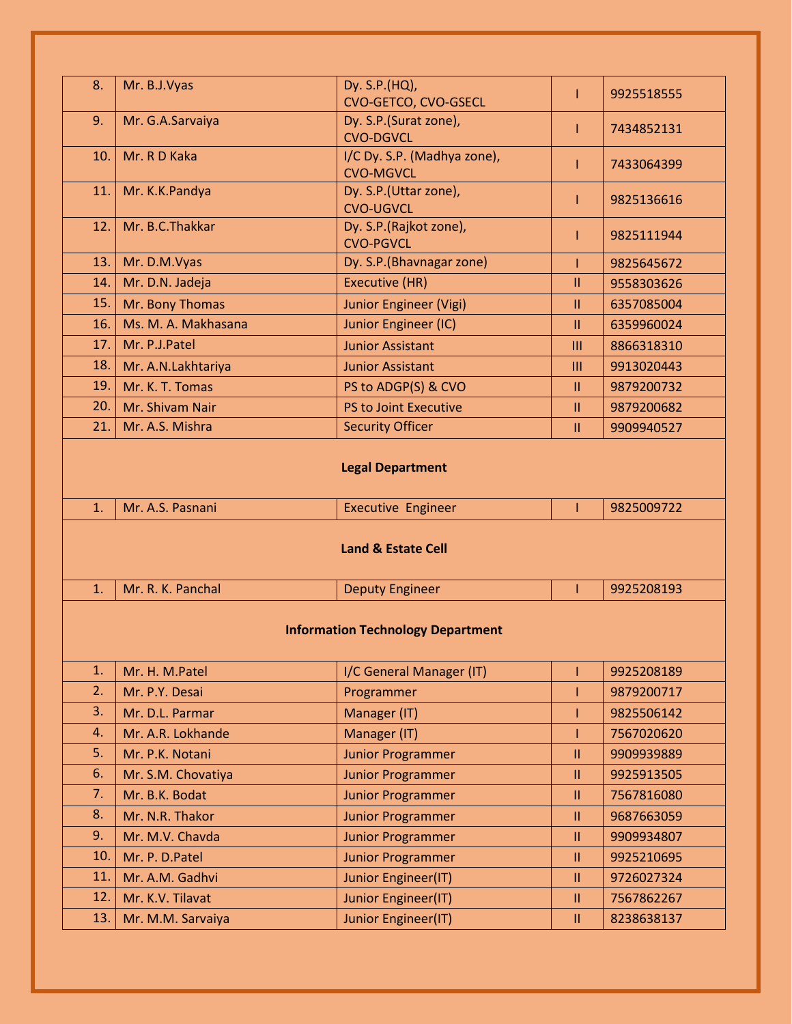| 8.                                                                                                 | Mr. B.J.Vyas                          | Dy. S.P.(HQ),                                 | ı              | 9925518555 |  |
|----------------------------------------------------------------------------------------------------|---------------------------------------|-----------------------------------------------|----------------|------------|--|
|                                                                                                    |                                       | CVO-GETCO, CVO-GSECL                          |                |            |  |
| 9.                                                                                                 | Mr. G.A.Sarvaiya                      | Dy. S.P.(Surat zone),<br><b>CVO-DGVCL</b>     | ı              | 7434852131 |  |
| 10.                                                                                                | Mr. R D Kaka                          | I/C Dy. S.P. (Madhya zone),                   |                |            |  |
|                                                                                                    |                                       | <b>CVO-MGVCL</b>                              |                | 7433064399 |  |
| 11.                                                                                                | Mr. K.K.Pandya                        | Dy. S.P.(Uttar zone),                         | ı              | 9825136616 |  |
|                                                                                                    |                                       | <b>CVO-UGVCL</b>                              |                |            |  |
| 12.                                                                                                | Mr. B.C.Thakkar                       | Dy. S.P.(Rajkot zone),                        | ı              | 9825111944 |  |
| 13.                                                                                                | Mr. D.M.Vyas                          | <b>CVO-PGVCL</b><br>Dy. S.P. (Bhavnagar zone) |                | 9825645672 |  |
| 14.                                                                                                | Mr. D.N. Jadeja                       | Executive (HR)                                | $\mathbf{II}$  | 9558303626 |  |
| 15.                                                                                                | Mr. Bony Thomas                       | <b>Junior Engineer (Vigi)</b>                 | $\mathbf{II}$  | 6357085004 |  |
| 16.                                                                                                | Ms. M. A. Makhasana                   | Junior Engineer (IC)                          | Ш              | 6359960024 |  |
| 17.                                                                                                | Mr. P.J.Patel                         | <b>Junior Assistant</b>                       | $\mathbf{III}$ | 8866318310 |  |
| 18.                                                                                                |                                       |                                               | $\mathbf{III}$ | 9913020443 |  |
|                                                                                                    | Mr. A.N.Lakhtariya<br>Mr. K. T. Tomas | <b>Junior Assistant</b>                       |                | 9879200732 |  |
| 19.<br>20.                                                                                         |                                       | PS to ADGP(S) & CVO                           | Ш              |            |  |
|                                                                                                    | Mr. Shivam Nair<br>Mr. A.S. Mishra    | PS to Joint Executive                         | Ш              | 9879200682 |  |
| 21.                                                                                                |                                       | <b>Security Officer</b>                       | $\mathbf{II}$  | 9909940527 |  |
| Mr. A.S. Pasnani<br><b>Executive Engineer</b><br>9825009722<br>1.<br><b>Land &amp; Estate Cell</b> |                                       |                                               |                |            |  |
| 1.                                                                                                 | Mr. R. K. Panchal                     | <b>Deputy Engineer</b>                        |                | 9925208193 |  |
| <b>Information Technology Department</b>                                                           |                                       |                                               |                |            |  |
| 1.                                                                                                 | Mr. H. M.Patel                        | I/C General Manager (IT)                      |                | 9925208189 |  |
| 2.                                                                                                 | Mr. P.Y. Desai                        | Programmer                                    |                | 9879200717 |  |
| 3.                                                                                                 | Mr. D.L. Parmar                       | Manager (IT)                                  |                | 9825506142 |  |
| 4.                                                                                                 | Mr. A.R. Lokhande                     | Manager (IT)                                  |                | 7567020620 |  |
| 5.                                                                                                 | Mr. P.K. Notani                       | <b>Junior Programmer</b>                      | $\mathbf{II}$  | 9909939889 |  |
| 6.                                                                                                 | Mr. S.M. Chovatiya                    | <b>Junior Programmer</b>                      | $\mathbf{II}$  | 9925913505 |  |
| 7.                                                                                                 | Mr. B.K. Bodat                        | <b>Junior Programmer</b>                      | $\mathbf{II}$  | 7567816080 |  |
| 8.                                                                                                 | Mr. N.R. Thakor                       | <b>Junior Programmer</b>                      | $\mathbf{II}$  | 9687663059 |  |
| 9.                                                                                                 | Mr. M.V. Chavda                       | <b>Junior Programmer</b>                      | Ш              | 9909934807 |  |
| 10.                                                                                                | Mr. P. D. Patel                       | <b>Junior Programmer</b>                      | $\mathbf{II}$  | 9925210695 |  |
| 11.                                                                                                | Mr. A.M. Gadhvi                       | Junior Engineer(IT)                           | $\mathbf{II}$  | 9726027324 |  |
| 12.                                                                                                | Mr. K.V. Tilavat                      | Junior Engineer(IT)                           | $\mathbf{II}$  | 7567862267 |  |
| 13.                                                                                                | Mr. M.M. Sarvaiya                     | Junior Engineer(IT)                           | $\mathbf{II}$  | 8238638137 |  |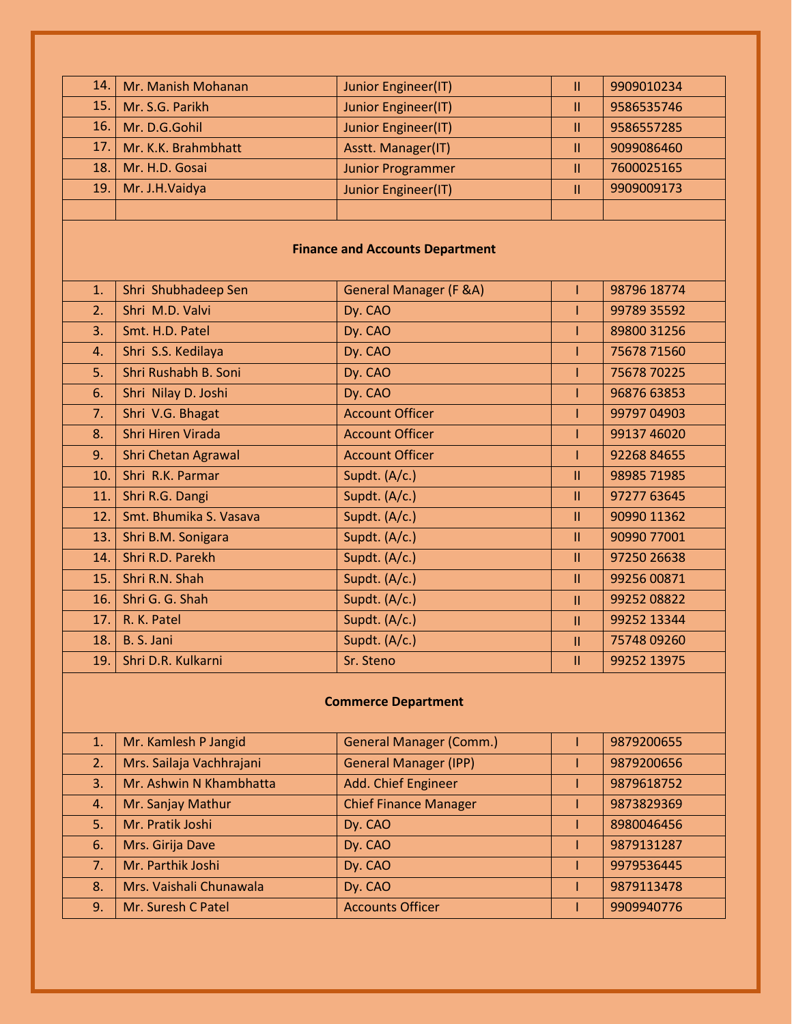| 14.                                    | Mr. Manish Mohanan         | Junior Engineer(IT)               | Ш             | 9909010234  |  |
|----------------------------------------|----------------------------|-----------------------------------|---------------|-------------|--|
| 15.                                    | Mr. S.G. Parikh            | Junior Engineer(IT)               | $\mathbf{II}$ | 9586535746  |  |
| 16.                                    | Mr. D.G.Gohil              | Junior Engineer(IT)               | Ш             | 9586557285  |  |
| 17.                                    | Mr. K.K. Brahmbhatt        | Asstt. Manager(IT)                | $\mathbf{II}$ | 9099086460  |  |
| 18.                                    | Mr. H.D. Gosai             | <b>Junior Programmer</b>          | $\mathbf{II}$ | 7600025165  |  |
| 19.                                    | Mr. J.H.Vaidya             | Junior Engineer(IT)               | $\mathbf{II}$ | 9909009173  |  |
|                                        |                            |                                   |               |             |  |
| <b>Finance and Accounts Department</b> |                            |                                   |               |             |  |
| 1.                                     | Shri Shubhadeep Sen        | <b>General Manager (F &amp;A)</b> | Т             | 98796 18774 |  |
| 2.                                     | Shri M.D. Valvi            | Dy. CAO                           | T             | 99789 35592 |  |
| 3.                                     | Smt. H.D. Patel            | Dy. CAO                           |               | 89800 31256 |  |
| 4.                                     | Shri S.S. Kedilaya         | Dy. CAO                           |               | 75678 71560 |  |
| 5.                                     | Shri Rushabh B. Soni       | Dy. CAO                           |               | 75678 70225 |  |
| 6.                                     | Shri Nilay D. Joshi        | Dy. CAO                           |               | 96876 63853 |  |
| 7.                                     | Shri V.G. Bhagat           | <b>Account Officer</b>            |               | 99797 04903 |  |
| 8.                                     | Shri Hiren Virada          | <b>Account Officer</b>            |               | 99137 46020 |  |
| 9.                                     | <b>Shri Chetan Agrawal</b> | <b>Account Officer</b>            |               | 92268 84655 |  |
| 10.                                    | Shri R.K. Parmar           | Supdt. (A/c.)                     | $\mathbf{II}$ | 98985 71985 |  |
| 11.                                    | Shri R.G. Dangi            | Supdt. (A/c.)                     | $\mathbf{H}$  | 97277 63645 |  |
| 12.                                    | Smt. Bhumika S. Vasava     | Supdt. (A/c.)                     | $\mathbf{II}$ | 90990 11362 |  |
| 13.                                    | Shri B.M. Sonigara         | Supdt. (A/c.)                     | $\mathbf{II}$ | 90990 77001 |  |
| 14.                                    | Shri R.D. Parekh           | Supdt. (A/c.)                     | $\mathbf{H}$  | 97250 26638 |  |
| 15.                                    | Shri R.N. Shah             | Supdt. (A/c.)                     | $\mathbf{H}$  | 99256 00871 |  |
| 16.                                    | Shri G. G. Shah            | Supdt. (A/c.)                     | $\mathbf{II}$ | 99252 08822 |  |
| 17.                                    | R. K. Patel                | Supdt. (A/c.)                     | $\mathbf{H}$  | 99252 13344 |  |
| 18.                                    | B. S. Jani                 | Supdt. (A/c.)                     | Ш             | 75748 09260 |  |
| 19.                                    | Shri D.R. Kulkarni         | Sr. Steno                         | $\mathbf{II}$ | 99252 13975 |  |
|                                        |                            |                                   |               |             |  |

## **Commerce Department**

| 1.7 | Mr. Kamlesh P Jangid     | <b>General Manager (Comm.)</b> | 9879200655 |
|-----|--------------------------|--------------------------------|------------|
| 2.  | Mrs. Sailaja Vachhrajani | <b>General Manager (IPP)</b>   | 9879200656 |
| 3.  | Mr. Ashwin N Khambhatta  | Add. Chief Engineer            | 9879618752 |
| 4.  | Mr. Sanjay Mathur        | <b>Chief Finance Manager</b>   | 9873829369 |
| 5.  | Mr. Pratik Joshi         | Dy. CAO                        | 8980046456 |
| 6.  | Mrs. Girija Dave         | Dy. CAO                        | 9879131287 |
| 7.  | Mr. Parthik Joshi        | Dy. CAO                        | 9979536445 |
| 8.  | Mrs. Vaishali Chunawala  | Dy. CAO                        | 9879113478 |
| 9.  | Mr. Suresh C Patel       | <b>Accounts Officer</b>        | 9909940776 |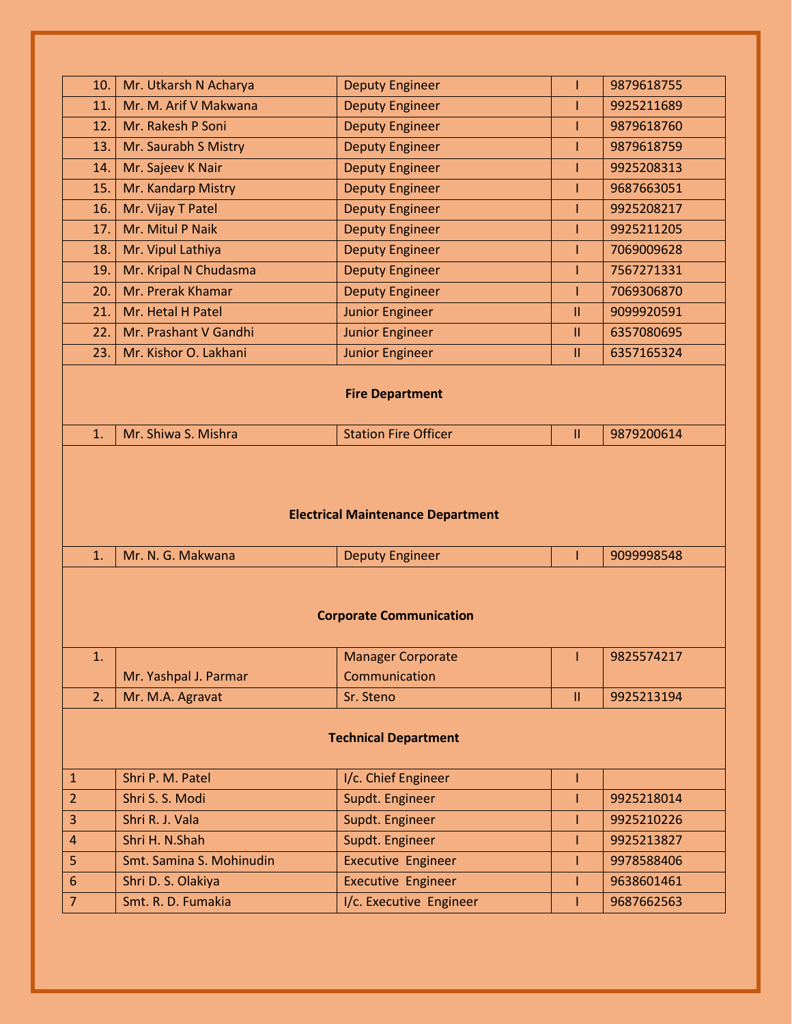| Mr. Utkarsh N Acharya<br><b>Deputy Engineer</b><br>9879618755<br>10.<br>Mr. M. Arif V Makwana<br><b>Deputy Engineer</b><br>T<br>11. |                          |  |  |  |  |  |
|-------------------------------------------------------------------------------------------------------------------------------------|--------------------------|--|--|--|--|--|
|                                                                                                                                     |                          |  |  |  |  |  |
|                                                                                                                                     | 9925211689               |  |  |  |  |  |
| Mr. Rakesh P Soni<br><b>Deputy Engineer</b><br>12.                                                                                  | 9879618760               |  |  |  |  |  |
| Mr. Saurabh S Mistry<br>13.<br><b>Deputy Engineer</b>                                                                               | 9879618759               |  |  |  |  |  |
| Mr. Sajeev K Nair<br><b>Deputy Engineer</b><br>Ī<br>14.                                                                             | 9925208313               |  |  |  |  |  |
| Mr. Kandarp Mistry<br><b>Deputy Engineer</b><br>15.                                                                                 | 9687663051               |  |  |  |  |  |
| Mr. Vijay T Patel<br>16.<br><b>Deputy Engineer</b>                                                                                  | 9925208217               |  |  |  |  |  |
| Mr. Mitul P Naik<br><b>Deputy Engineer</b><br>17.<br>Т                                                                              | 9925211205               |  |  |  |  |  |
| Mr. Vipul Lathiya<br><b>Deputy Engineer</b><br>18.                                                                                  | 7069009628               |  |  |  |  |  |
| Mr. Kripal N Chudasma<br>19.<br><b>Deputy Engineer</b><br>Т                                                                         | 7567271331               |  |  |  |  |  |
| Mr. Prerak Khamar<br><b>Deputy Engineer</b><br>20.                                                                                  | 7069306870               |  |  |  |  |  |
| Mr. Hetal H Patel<br><b>Junior Engineer</b><br>21.<br>Ш                                                                             | 9099920591               |  |  |  |  |  |
| Mr. Prashant V Gandhi<br>22.<br><b>Junior Engineer</b><br>Ш                                                                         | 6357080695               |  |  |  |  |  |
| Mr. Kishor O. Lakhani<br>23.<br><b>Junior Engineer</b><br>$\mathbf{II}$                                                             | 6357165324               |  |  |  |  |  |
|                                                                                                                                     | <b>Fire Department</b>   |  |  |  |  |  |
|                                                                                                                                     |                          |  |  |  |  |  |
| <b>Station Fire Officer</b><br>Mr. Shiwa S. Mishra<br>1.<br>$\mathbf{II}$                                                           | 9879200614               |  |  |  |  |  |
| <b>Electrical Maintenance Department</b>                                                                                            |                          |  |  |  |  |  |
| Mr. N. G. Makwana<br><b>Deputy Engineer</b><br>1.<br>т                                                                              | 9099998548               |  |  |  |  |  |
| <b>Corporate Communication</b><br><b>Manager Corporate</b><br>1.<br>L                                                               | 9825574217               |  |  |  |  |  |
| Communication<br>Mr. Yashpal J. Parmar                                                                                              |                          |  |  |  |  |  |
| 2.<br>Mr. M.A. Agravat<br>Sr. Steno<br>$\mathbf{II}$                                                                                | 9925213194               |  |  |  |  |  |
| <b>Technical Department</b>                                                                                                         |                          |  |  |  |  |  |
| I/c. Chief Engineer<br>Shri P. M. Patel<br>$\mathbf{1}$                                                                             |                          |  |  |  |  |  |
| $\overline{2}$<br>Shri S. S. Modi<br>Supdt. Engineer                                                                                | 9925218014               |  |  |  |  |  |
| Shri R. J. Vala<br>3<br>Supdt. Engineer<br>T                                                                                        | 9925210226               |  |  |  |  |  |
| Shri H. N.Shah<br>Supdt. Engineer<br>$\overline{4}$                                                                                 | 9925213827               |  |  |  |  |  |
| 5<br>Smt. Samina S. Mohinudin<br><b>Executive Engineer</b>                                                                          | 9978588406               |  |  |  |  |  |
| 6<br><b>Executive Engineer</b><br>Shri D. S. Olakiya<br>Ī<br>Smt. R. D. Fumakia<br>$\overline{7}$<br>I/c. Executive Engineer        | 9638601461<br>9687662563 |  |  |  |  |  |